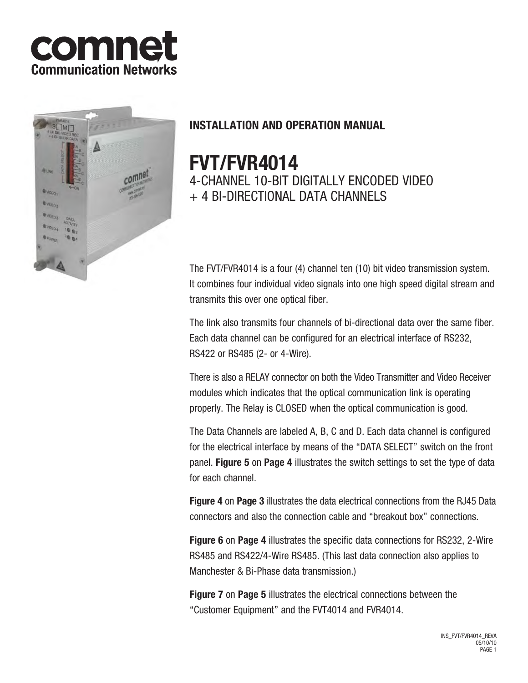



# **INSTALLATION AND OPERATION MANUAL**

# **FVT/FVR4014**

4-CHANNEL 10-BIT DIGITALLY ENCODED VIDEO + 4 BI-DIRECTIONAL DATA CHANNELS

The FVT/FVR4014 is a four (4) channel ten (10) bit video transmission system. It combines four individual video signals into one high speed digital stream and transmits this over one optical fiber.

The link also transmits four channels of bi-directional data over the same fiber. Each data channel can be configured for an electrical interface of RS232, RS422 or RS485 (2- or 4-Wire).

There is also a RELAY connector on both the Video Transmitter and Video Receiver modules which indicates that the optical communication link is operating properly. The Relay is CLOSED when the optical communication is good.

The Data Channels are labeled A, B, C and D. Each data channel is configured for the electrical interface by means of the "DATA SELECT" switch on the front panel. **Figure 5** on **Page 4** illustrates the switch settings to set the type of data for each channel.

**Figure 4** on **Page 3** illustrates the data electrical connections from the RJ45 Data connectors and also the connection cable and "breakout box" connections.

**Figure 6** on **Page 4** illustrates the specific data connections for RS232, 2-Wire RS485 and RS422/4-Wire RS485. (This last data connection also applies to Manchester & Bi-Phase data transmission.)

**Figure 7** on **Page 5** illustrates the electrical connections between the "Customer Equipment" and the FVT4014 and FVR4014.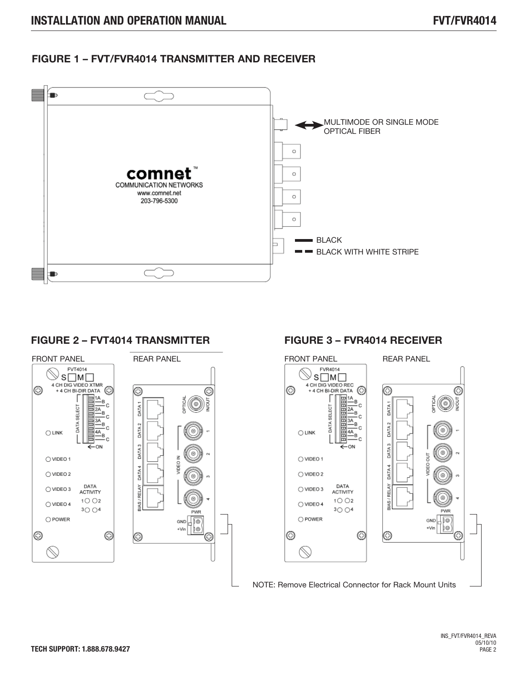## **FIGURE 1 – FVT/FVR4014 TRANSMITTER AND RECEIVER**



#### **FIGURE 2 – FVT4014 TRANSMITTER**



## **FIGURE 3 – FVR4014 RECEIVER**

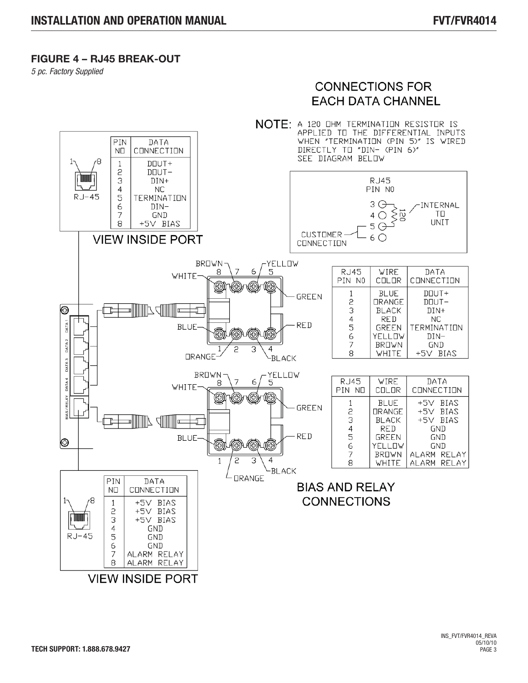### **FIGURE 4 – RJ45 BREAK-OUT**

*5 pc. Factory Supplied*

# **CONNECTIONS FOR EACH DATA CHANNEL**

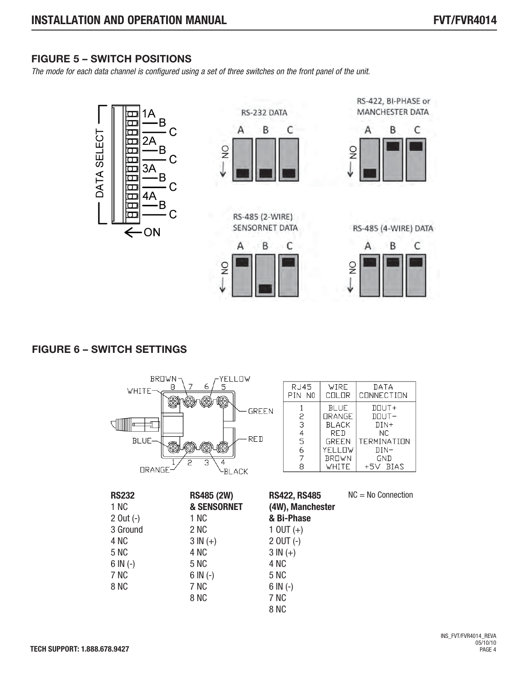# **FIGURE 5 – SWITCH POSITIONS**

*The mode for each data channel is configured using a set of three switches on the front panel of the unit.*



## **FIGURE 6 – SWITCH SETTINGS**

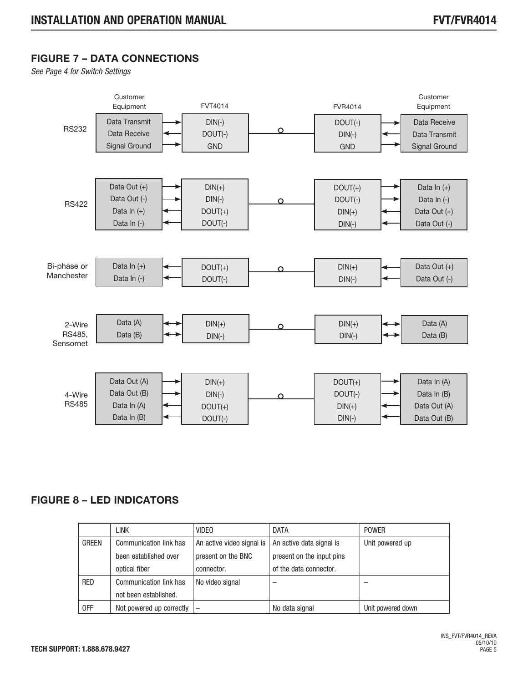# **FIGURE 7 – DATA CONNECTIONS**

*See Page 4 for Switch Settings*



# **FIGURE 8 – LED INDICATORS**

|              | <b>LINK</b>              | <b>VIDEO</b>              | <b>DATA</b>               | <b>POWER</b>      |
|--------------|--------------------------|---------------------------|---------------------------|-------------------|
| <b>GREEN</b> | Communication link has   | An active video signal is | An active data signal is  | Unit powered up   |
|              | been established over    | present on the BNC        | present on the input pins |                   |
|              | optical fiber            | connector.                | of the data connector.    |                   |
| <b>RED</b>   | Communication link has   | No video signal           |                           |                   |
|              | not been established.    |                           |                           |                   |
| 0FF          | Not powered up correctly | $\overline{\phantom{m}}$  | No data signal            | Unit powered down |